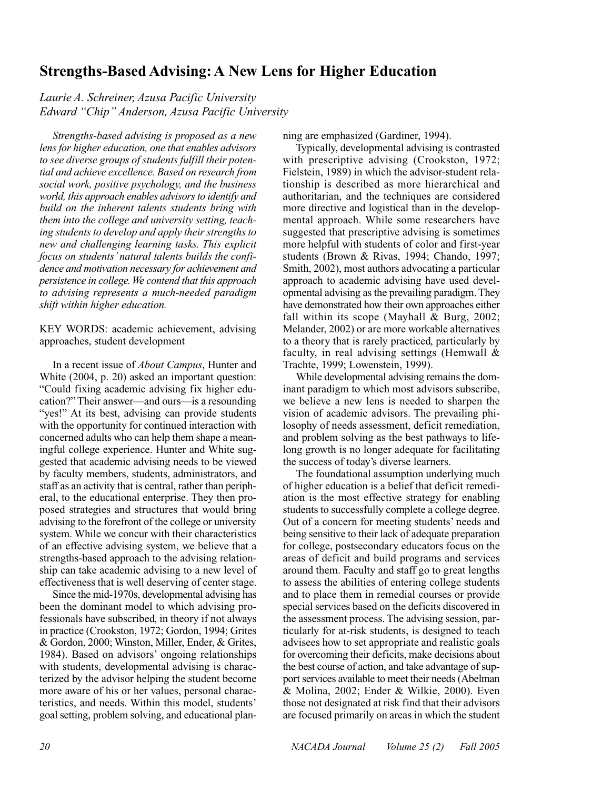# **Strengths-Based Advising: A New Lens for Higher Education**

*Laurie A. Schreiner, Azusa Pacific University Edward "Chip" Anderson, Azusa Pacific University*

*Strengths-based advising is proposed as a new lens for higher education, one that enables advisors to see diverse groups of students fulfill their potential and achieve excellence. Based on research from social work, positive psychology, and the business world, this approach enables advisors to identify and build on the inherent talents students bring with them into the college and university setting, teaching students to develop and apply their strengths to new and challenging learning tasks. This explicit focus on students' natural talents builds the confidence and motivation necessary for achievement and persistence in college. We contend that this approach to advising represents a much-needed paradigm shift within higher education.*

KEY WORDS: academic achievement, advising approaches, student development

In a recent issue of *About Campus*, Hunter and White (2004, p. 20) asked an important question: "Could fixing academic advising fix higher education?" Their answer—and ours—is a resounding "yes!" At its best, advising can provide students with the opportunity for continued interaction with concerned adults who can help them shape a meaningful college experience. Hunter and White suggested that academic advising needs to be viewed by faculty members, students, administrators, and staff as an activity that is central, rather than peripheral, to the educational enterprise. They then proposed strategies and structures that would bring advising to the forefront of the college or university system. While we concur with their characteristics of an effective advising system, we believe that a strengths-based approach to the advising relationship can take academic advising to a new level of effectiveness that is well deserving of center stage.

Since the mid-1970s, developmental advising has been the dominant model to which advising professionals have subscribed, in theory if not always in practice (Crookston, 1972; Gordon, 1994; Grites & Gordon, 2000; Winston, Miller, Ender, & Grites, 1984). Based on advisors' ongoing relationships with students, developmental advising is characterized by the advisor helping the student become more aware of his or her values, personal characteristics, and needs. Within this model, students' goal setting, problem solving, and educational planning are emphasized (Gardiner, 1994).

Typically, developmental advising is contrasted with prescriptive advising (Crookston, 1972; Fielstein, 1989) in which the advisor-student relationship is described as more hierarchical and authoritarian, and the techniques are considered more directive and logistical than in the developmental approach. While some researchers have suggested that prescriptive advising is sometimes more helpful with students of color and first-year students (Brown & Rivas, 1994; Chando, 1997; Smith, 2002), most authors advocating a particular approach to academic advising have used developmental advising as the prevailing paradigm. They have demonstrated how their own approaches either fall within its scope (Mayhall & Burg, 2002; Melander, 2002) or are more workable alternatives to a theory that is rarely practiced, particularly by faculty, in real advising settings (Hemwall & Trachte, 1999; Lowenstein, 1999).

While developmental advising remains the dominant paradigm to which most advisors subscribe, we believe a new lens is needed to sharpen the vision of academic advisors. The prevailing philosophy of needs assessment, deficit remediation, and problem solving as the best pathways to lifelong growth is no longer adequate for facilitating the success of today's diverse learners.

The foundational assumption underlying much of higher education is a belief that deficit remediation is the most effective strategy for enabling students to successfully complete a college degree. Out of a concern for meeting students' needs and being sensitive to their lack of adequate preparation for college, postsecondary educators focus on the areas of deficit and build programs and services around them. Faculty and staff go to great lengths to assess the abilities of entering college students and to place them in remedial courses or provide special services based on the deficits discovered in the assessment process. The advising session, particularly for at-risk students, is designed to teach advisees how to set appropriate and realistic goals for overcoming their deficits, make decisions about the best course of action, and take advantage of support services available to meet their needs (Abelman & Molina, 2002; Ender & Wilkie, 2000). Even those not designated at risk find that their advisors are focused primarily on areas in which the student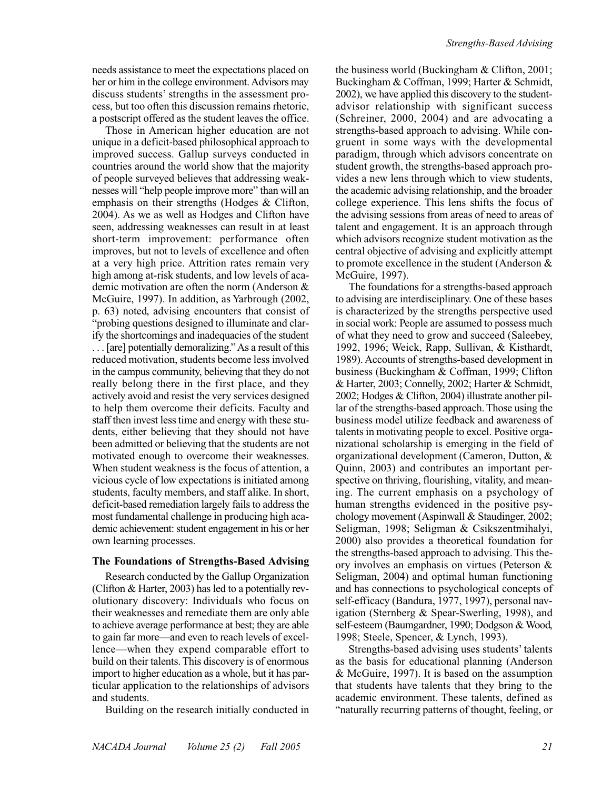needs assistance to meet the expectations placed on her or him in the college environment. Advisors may discuss students' strengths in the assessment process, but too often this discussion remains rhetoric, a postscript offered as the student leaves the office.

Those in American higher education are not unique in a deficit-based philosophical approach to improved success. Gallup surveys conducted in countries around the world show that the majority of people surveyed believes that addressing weaknesses will "help people improve more" than will an emphasis on their strengths (Hodges & Clifton, 2004). As we as well as Hodges and Clifton have seen, addressing weaknesses can result in at least short-term improvement: performance often improves, but not to levels of excellence and often at a very high price. Attrition rates remain very high among at-risk students, and low levels of academic motivation are often the norm (Anderson & McGuire, 1997). In addition, as Yarbrough (2002, p. 63) noted, advising encounters that consist of "probing questions designed to illuminate and clarify the shortcomings and inadequacies of the student . . . [are] potentially demoralizing." As a result of this reduced motivation, students become less involved in the campus community, believing that they do not really belong there in the first place, and they actively avoid and resist the very services designed to help them overcome their deficits. Faculty and staff then invest less time and energy with these students, either believing that they should not have been admitted or believing that the students are not motivated enough to overcome their weaknesses. When student weakness is the focus of attention, a vicious cycle of low expectations is initiated among students, faculty members, and staff alike. In short, deficit-based remediation largely fails to address the most fundamental challenge in producing high academic achievement: student engagement in his or her own learning processes.

#### **The Foundations of Strengths-Based Advising**

Research conducted by the Gallup Organization (Clifton & Harter, 2003) has led to a potentially revolutionary discovery: Individuals who focus on their weaknesses and remediate them are only able to achieve average performance at best; they are able to gain far more—and even to reach levels of excellence—when they expend comparable effort to build on their talents. This discovery is of enormous import to higher education as a whole, but it has particular application to the relationships of advisors and students.

Building on the research initially conducted in

the business world (Buckingham & Clifton, 2001; Buckingham & Coffman, 1999; Harter & Schmidt, 2002), we have applied this discovery to the studentadvisor relationship with significant success (Schreiner, 2000, 2004) and are advocating a strengths-based approach to advising. While congruent in some ways with the developmental paradigm, through which advisors concentrate on student growth, the strengths-based approach provides a new lens through which to view students, the academic advising relationship, and the broader college experience. This lens shifts the focus of the advising sessions from areas of need to areas of talent and engagement. It is an approach through which advisors recognize student motivation as the central objective of advising and explicitly attempt to promote excellence in the student (Anderson & McGuire, 1997).

The foundations for a strengths-based approach to advising are interdisciplinary. One of these bases is characterized by the strengths perspective used in social work: People are assumed to possess much of what they need to grow and succeed (Saleebey, 1992, 1996; Weick, Rapp, Sullivan, & Kisthardt, 1989). Accounts of strengths-based development in business (Buckingham & Coffman, 1999; Clifton & Harter, 2003; Connelly, 2002; Harter & Schmidt, 2002; Hodges & Clifton, 2004) illustrate another pillar of the strengths-based approach. Those using the business model utilize feedback and awareness of talents in motivating people to excel. Positive organizational scholarship is emerging in the field of organizational development (Cameron, Dutton, & Quinn, 2003) and contributes an important perspective on thriving, flourishing, vitality, and meaning. The current emphasis on a psychology of human strengths evidenced in the positive psychology movement (Aspinwall & Staudinger, 2002; Seligman, 1998; Seligman & Csikszentmihalyi, 2000) also provides a theoretical foundation for the strengths-based approach to advising. This theory involves an emphasis on virtues (Peterson & Seligman, 2004) and optimal human functioning and has connections to psychological concepts of self-efficacy (Bandura, 1977, 1997), personal navigation (Sternberg & Spear-Swerling, 1998), and self-esteem (Baumgardner, 1990; Dodgson & Wood, 1998; Steele, Spencer, & Lynch, 1993).

Strengths-based advising uses students' talents as the basis for educational planning (Anderson & McGuire, 1997). It is based on the assumption that students have talents that they bring to the academic environment. These talents, defined as "naturally recurring patterns of thought, feeling, or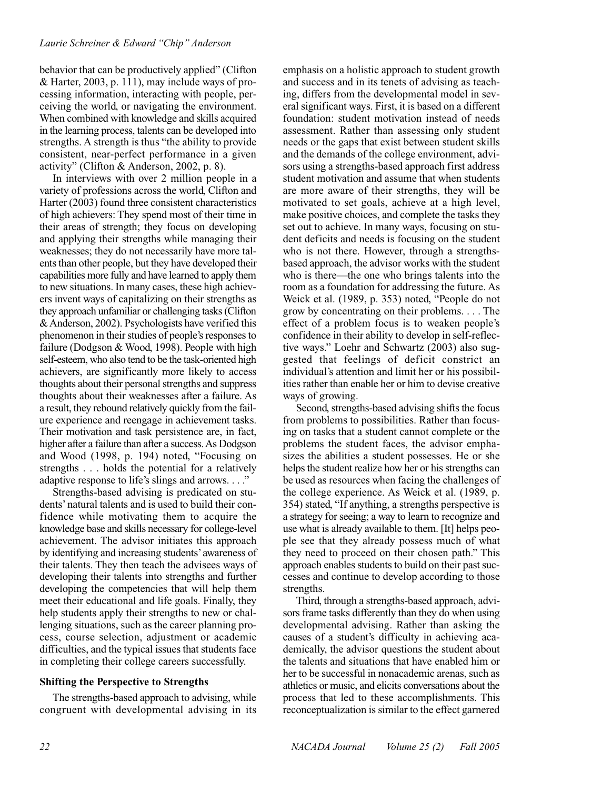#### *Laurie Schreiner & Edward "Chip" Anderson*

behavior that can be productively applied" (Clifton & Harter, 2003, p. 111), may include ways of processing information, interacting with people, perceiving the world, or navigating the environment. When combined with knowledge and skills acquired in the learning process, talents can be developed into strengths. A strength is thus "the ability to provide consistent, near-perfect performance in a given activity" (Clifton & Anderson, 2002, p. 8).

In interviews with over 2 million people in a variety of professions across the world, Clifton and Harter (2003) found three consistent characteristics of high achievers: They spend most of their time in their areas of strength; they focus on developing and applying their strengths while managing their weaknesses; they do not necessarily have more talents than other people, but they have developed their capabilities more fully and have learned to apply them to new situations. In many cases, these high achievers invent ways of capitalizing on their strengths as they approach unfamiliar or challenging tasks (Clifton & Anderson, 2002). Psychologists have verified this phenomenon in their studies of people's responses to failure (Dodgson & Wood, 1998). People with high self-esteem, who also tend to be the task-oriented high achievers, are significantly more likely to access thoughts about their personal strengths and suppress thoughts about their weaknesses after a failure. As a result, they rebound relatively quickly from the failure experience and reengage in achievement tasks. Their motivation and task persistence are, in fact, higher after a failure than after a success. As Dodgson and Wood (1998, p. 194) noted, "Focusing on strengths . . . holds the potential for a relatively adaptive response to life's slings and arrows. . . ."

Strengths-based advising is predicated on students' natural talents and is used to build their confidence while motivating them to acquire the knowledge base and skills necessary for college-level achievement. The advisor initiates this approach by identifying and increasing students'awareness of their talents. They then teach the advisees ways of developing their talents into strengths and further developing the competencies that will help them meet their educational and life goals. Finally, they help students apply their strengths to new or challenging situations, such as the career planning process, course selection, adjustment or academic difficulties, and the typical issues that students face in completing their college careers successfully.

#### **Shifting the Perspective to Strengths**

The strengths-based approach to advising, while congruent with developmental advising in its emphasis on a holistic approach to student growth and success and in its tenets of advising as teaching, differs from the developmental model in several significant ways. First, it is based on a different foundation: student motivation instead of needs assessment. Rather than assessing only student needs or the gaps that exist between student skills and the demands of the college environment, advisors using a strengths-based approach first address student motivation and assume that when students are more aware of their strengths, they will be motivated to set goals, achieve at a high level, make positive choices, and complete the tasks they set out to achieve. In many ways, focusing on student deficits and needs is focusing on the student who is not there. However, through a strengthsbased approach, the advisor works with the student who is there—the one who brings talents into the room as a foundation for addressing the future. As Weick et al. (1989, p. 353) noted, "People do not grow by concentrating on their problems. . . . The effect of a problem focus is to weaken people's confidence in their ability to develop in self-reflective ways." Loehr and Schwartz (2003) also suggested that feelings of deficit constrict an individual's attention and limit her or his possibilities rather than enable her or him to devise creative ways of growing.

Second, strengths-based advising shifts the focus from problems to possibilities. Rather than focusing on tasks that a student cannot complete or the problems the student faces, the advisor emphasizes the abilities a student possesses. He or she helps the student realize how her or his strengths can be used as resources when facing the challenges of the college experience. As Weick et al. (1989, p. 354) stated, "If anything, a strengths perspective is a strategy for seeing; a way to learn to recognize and use what is already available to them. [It] helps people see that they already possess much of what they need to proceed on their chosen path." This approach enables students to build on their past successes and continue to develop according to those strengths.

Third, through a strengths-based approach, advisors frame tasks differently than they do when using developmental advising. Rather than asking the causes of a student's difficulty in achieving academically, the advisor questions the student about the talents and situations that have enabled him or her to be successful in nonacademic arenas, such as athletics or music, and elicits conversations about the process that led to these accomplishments. This reconceptualization is similar to the effect garnered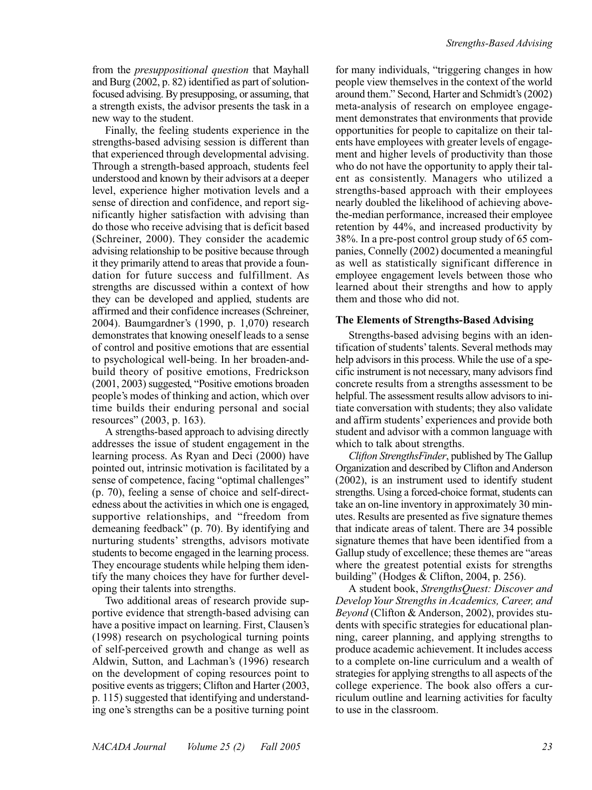from the *presuppositional question* that Mayhall and Burg (2002, p. 82) identified as part of solutionfocused advising. By presupposing, or assuming, that a strength exists, the advisor presents the task in a new way to the student.

Finally, the feeling students experience in the strengths-based advising session is different than that experienced through developmental advising. Through a strength-based approach, students feel understood and known by their advisors at a deeper level, experience higher motivation levels and a sense of direction and confidence, and report significantly higher satisfaction with advising than do those who receive advising that is deficit based (Schreiner, 2000). They consider the academic advising relationship to be positive because through it they primarily attend to areas that provide a foundation for future success and fulfillment. As strengths are discussed within a context of how they can be developed and applied, students are affirmed and their confidence increases (Schreiner, 2004). Baumgardner's (1990, p. 1,070) research demonstrates that knowing oneself leads to a sense of control and positive emotions that are essential to psychological well-being. In her broaden-andbuild theory of positive emotions, Fredrickson (2001, 2003) suggested, "Positive emotions broaden people's modes of thinking and action, which over time builds their enduring personal and social resources" (2003, p. 163).

A strengths-based approach to advising directly addresses the issue of student engagement in the learning process. As Ryan and Deci (2000) have pointed out, intrinsic motivation is facilitated by a sense of competence, facing "optimal challenges" (p. 70), feeling a sense of choice and self-directedness about the activities in which one is engaged, supportive relationships, and "freedom from demeaning feedback" (p. 70). By identifying and nurturing students' strengths, advisors motivate students to become engaged in the learning process. They encourage students while helping them identify the many choices they have for further developing their talents into strengths.

Two additional areas of research provide supportive evidence that strength-based advising can have a positive impact on learning. First, Clausen's (1998) research on psychological turning points of self-perceived growth and change as well as Aldwin, Sutton, and Lachman's (1996) research on the development of coping resources point to positive events as triggers; Clifton and Harter (2003, p. 115) suggested that identifying and understanding one's strengths can be a positive turning point for many individuals, "triggering changes in how people view themselves in the context of the world around them." Second, Harter and Schmidt's (2002) meta-analysis of research on employee engagement demonstrates that environments that provide opportunities for people to capitalize on their talents have employees with greater levels of engagement and higher levels of productivity than those who do not have the opportunity to apply their talent as consistently. Managers who utilized a strengths-based approach with their employees nearly doubled the likelihood of achieving abovethe-median performance, increased their employee retention by 44%, and increased productivity by 38%. In a pre-post control group study of 65 companies, Connelly (2002) documented a meaningful as well as statistically significant difference in employee engagement levels between those who learned about their strengths and how to apply them and those who did not.

#### **The Elements of Strengths-Based Advising**

Strengths-based advising begins with an identification of students'talents. Several methods may help advisors in this process. While the use of a specific instrument is not necessary, many advisors find concrete results from a strengths assessment to be helpful. The assessment results allow advisors to initiate conversation with students; they also validate and affirm students' experiences and provide both student and advisor with a common language with which to talk about strengths.

*Clifton StrengthsFinder*, published by The Gallup Organization and described by Clifton and Anderson (2002), is an instrument used to identify student strengths. Using a forced-choice format, students can take an on-line inventory in approximately 30 minutes. Results are presented as five signature themes that indicate areas of talent. There are 34 possible signature themes that have been identified from a Gallup study of excellence; these themes are "areas where the greatest potential exists for strengths building" (Hodges & Clifton, 2004, p. 256).

A student book, *StrengthsQuest: Discover and Develop Your Strengths in Academics, Career, and Beyond* (Clifton & Anderson, 2002), provides students with specific strategies for educational planning, career planning, and applying strengths to produce academic achievement. It includes access to a complete on-line curriculum and a wealth of strategies for applying strengths to all aspects of the college experience. The book also offers a curriculum outline and learning activities for faculty to use in the classroom.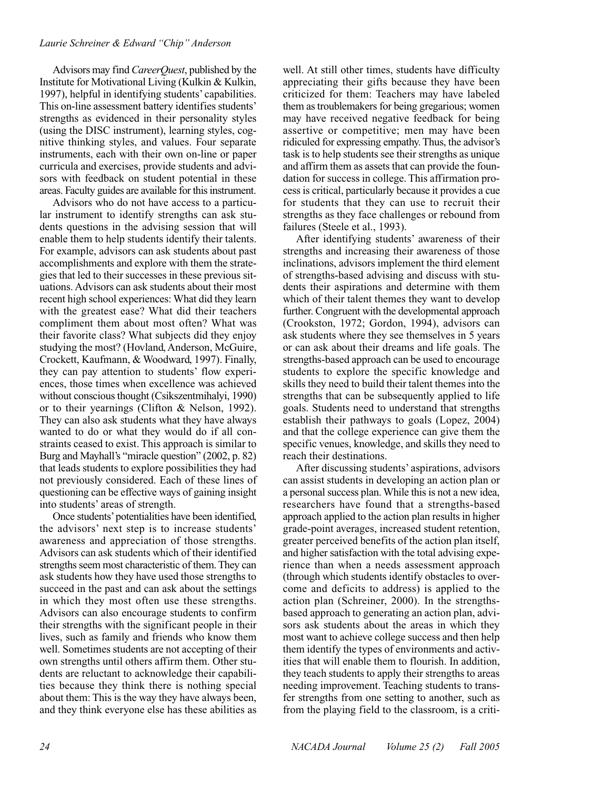#### *Laurie Schreiner & Edward "Chip" Anderson*

Advisors may find *CareerQuest*, published by the Institute for Motivational Living (Kulkin & Kulkin, 1997), helpful in identifying students' capabilities. This on-line assessment battery identifies students' strengths as evidenced in their personality styles (using the DISC instrument), learning styles, cognitive thinking styles, and values. Four separate instruments, each with their own on-line or paper curricula and exercises, provide students and advisors with feedback on student potential in these areas. Faculty guides are available for this instrument.

Advisors who do not have access to a particular instrument to identify strengths can ask students questions in the advising session that will enable them to help students identify their talents. For example, advisors can ask students about past accomplishments and explore with them the strategies that led to their successes in these previous situations. Advisors can ask students about their most recent high school experiences: What did they learn with the greatest ease? What did their teachers compliment them about most often? What was their favorite class? What subjects did they enjoy studying the most? (Hovland, Anderson, McGuire, Crockett, Kaufmann, & Woodward, 1997). Finally, they can pay attention to students' flow experiences, those times when excellence was achieved without conscious thought (Csikszentmihalyi, 1990) or to their yearnings (Clifton & Nelson, 1992). They can also ask students what they have always wanted to do or what they would do if all constraints ceased to exist. This approach is similar to Burg and Mayhall's "miracle question" (2002, p. 82) that leads students to explore possibilities they had not previously considered. Each of these lines of questioning can be effective ways of gaining insight into students' areas of strength.

Once students'potentialities have been identified, the advisors' next step is to increase students' awareness and appreciation of those strengths. Advisors can ask students which of their identified strengths seem most characteristic of them. They can ask students how they have used those strengths to succeed in the past and can ask about the settings in which they most often use these strengths. Advisors can also encourage students to confirm their strengths with the significant people in their lives, such as family and friends who know them well. Sometimes students are not accepting of their own strengths until others affirm them. Other students are reluctant to acknowledge their capabilities because they think there is nothing special about them: This is the way they have always been, and they think everyone else has these abilities as well. At still other times, students have difficulty appreciating their gifts because they have been criticized for them: Teachers may have labeled them as troublemakers for being gregarious; women may have received negative feedback for being assertive or competitive; men may have been ridiculed for expressing empathy. Thus, the advisor's task is to help students see their strengths as unique and affirm them as assets that can provide the foundation for success in college. This affirmation process is critical, particularly because it provides a cue for students that they can use to recruit their strengths as they face challenges or rebound from failures (Steele et al., 1993).

After identifying students' awareness of their strengths and increasing their awareness of those inclinations, advisors implement the third element of strengths-based advising and discuss with students their aspirations and determine with them which of their talent themes they want to develop further. Congruent with the developmental approach (Crookston, 1972; Gordon, 1994), advisors can ask students where they see themselves in 5 years or can ask about their dreams and life goals. The strengths-based approach can be used to encourage students to explore the specific knowledge and skills they need to build their talent themes into the strengths that can be subsequently applied to life goals. Students need to understand that strengths establish their pathways to goals (Lopez, 2004) and that the college experience can give them the specific venues, knowledge, and skills they need to reach their destinations.

After discussing students' aspirations, advisors can assist students in developing an action plan or a personal success plan. While this is not a new idea, researchers have found that a strengths-based approach applied to the action plan results in higher grade-point averages, increased student retention, greater perceived benefits of the action plan itself, and higher satisfaction with the total advising experience than when a needs assessment approach (through which students identify obstacles to overcome and deficits to address) is applied to the action plan (Schreiner, 2000). In the strengthsbased approach to generating an action plan, advisors ask students about the areas in which they most want to achieve college success and then help them identify the types of environments and activities that will enable them to flourish. In addition, they teach students to apply their strengths to areas needing improvement. Teaching students to transfer strengths from one setting to another, such as from the playing field to the classroom, is a criti-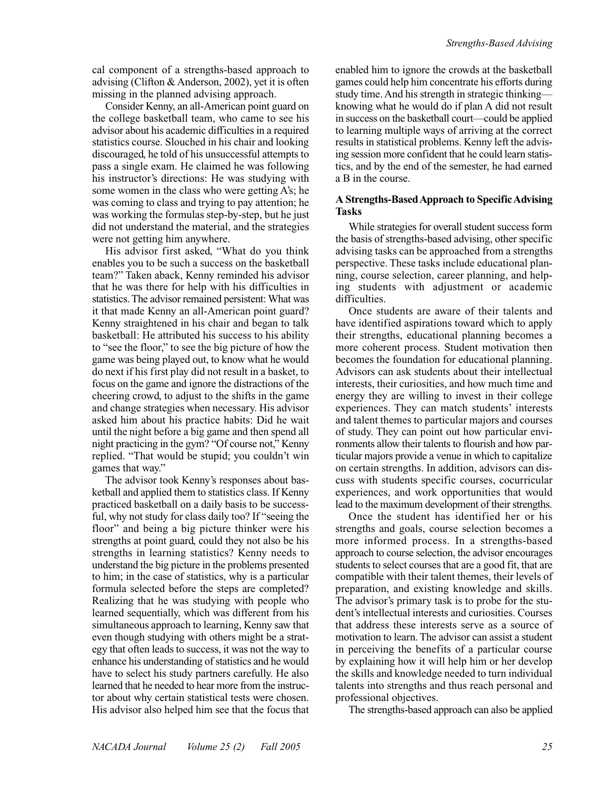cal component of a strengths-based approach to advising (Clifton & Anderson, 2002), yet it is often missing in the planned advising approach.

Consider Kenny, an all-American point guard on the college basketball team, who came to see his advisor about his academic difficulties in a required statistics course. Slouched in his chair and looking discouraged, he told of his unsuccessful attempts to pass a single exam. He claimed he was following his instructor's directions: He was studying with some women in the class who were getting A's; he was coming to class and trying to pay attention; he was working the formulas step-by-step, but he just did not understand the material, and the strategies were not getting him anywhere.

His advisor first asked, "What do you think enables you to be such a success on the basketball team?" Taken aback, Kenny reminded his advisor that he was there for help with his difficulties in statistics. The advisor remained persistent: What was it that made Kenny an all-American point guard? Kenny straightened in his chair and began to talk basketball: He attributed his success to his ability to "see the floor," to see the big picture of how the game was being played out, to know what he would do next if his first play did not result in a basket, to focus on the game and ignore the distractions of the cheering crowd, to adjust to the shifts in the game and change strategies when necessary. His advisor asked him about his practice habits: Did he wait until the night before a big game and then spend all night practicing in the gym? "Of course not," Kenny replied. "That would be stupid; you couldn't win games that way."

The advisor took Kenny's responses about basketball and applied them to statistics class. If Kenny practiced basketball on a daily basis to be successful, why not study for class daily too? If "seeing the floor" and being a big picture thinker were his strengths at point guard, could they not also be his strengths in learning statistics? Kenny needs to understand the big picture in the problems presented to him; in the case of statistics, why is a particular formula selected before the steps are completed? Realizing that he was studying with people who learned sequentially, which was different from his simultaneous approach to learning, Kenny saw that even though studying with others might be a strategy that often leads to success, it was not the way to enhance his understanding of statistics and he would have to select his study partners carefully. He also learned that he needed to hear more from the instructor about why certain statistical tests were chosen. His advisor also helped him see that the focus that

enabled him to ignore the crowds at the basketball games could help him concentrate his efforts during study time. And his strength in strategic thinking knowing what he would do if plan A did not result in success on the basketball court—could be applied to learning multiple ways of arriving at the correct results in statistical problems. Kenny left the advising session more confident that he could learn statistics, and by the end of the semester, he had earned a B in the course.

#### **A Strengths-Based Approach to Specific Advising Tasks**

While strategies for overall student success form the basis of strengths-based advising, other specific advising tasks can be approached from a strengths perspective. These tasks include educational planning, course selection, career planning, and helping students with adjustment or academic difficulties.

Once students are aware of their talents and have identified aspirations toward which to apply their strengths, educational planning becomes a more coherent process. Student motivation then becomes the foundation for educational planning. Advisors can ask students about their intellectual interests, their curiosities, and how much time and energy they are willing to invest in their college experiences. They can match students' interests and talent themes to particular majors and courses of study. They can point out how particular environments allow their talents to flourish and how particular majors provide a venue in which to capitalize on certain strengths. In addition, advisors can discuss with students specific courses, cocurricular experiences, and work opportunities that would lead to the maximum development of their strengths.

Once the student has identified her or his strengths and goals, course selection becomes a more informed process. In a strengths-based approach to course selection, the advisor encourages students to select courses that are a good fit, that are compatible with their talent themes, their levels of preparation, and existing knowledge and skills. The advisor's primary task is to probe for the student's intellectual interests and curiosities. Courses that address these interests serve as a source of motivation to learn. The advisor can assist a student in perceiving the benefits of a particular course by explaining how it will help him or her develop the skills and knowledge needed to turn individual talents into strengths and thus reach personal and professional objectives.

The strengths-based approach can also be applied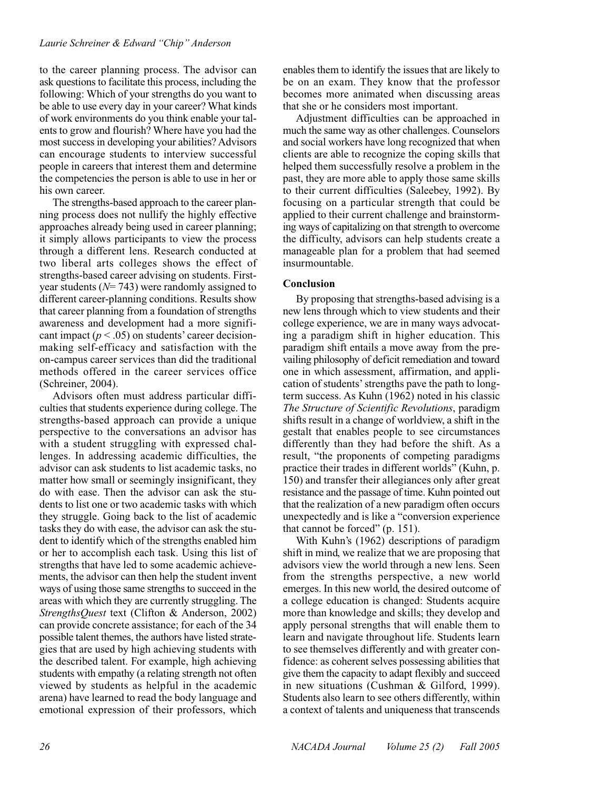to the career planning process. The advisor can ask questions to facilitate this process, including the following: Which of your strengths do you want to be able to use every day in your career? What kinds of work environments do you think enable your talents to grow and flourish? Where have you had the most success in developing your abilities? Advisors can encourage students to interview successful people in careers that interest them and determine the competencies the person is able to use in her or his own career.

The strengths-based approach to the career planning process does not nullify the highly effective approaches already being used in career planning; it simply allows participants to view the process through a different lens. Research conducted at two liberal arts colleges shows the effect of strengths-based career advising on students. Firstyear students (*N*= 743) were randomly assigned to different career-planning conditions. Results show that career planning from a foundation of strengths awareness and development had a more significant impact  $(p < .05)$  on students' career decisionmaking self-efficacy and satisfaction with the on-campus career services than did the traditional methods offered in the career services office (Schreiner, 2004).

Advisors often must address particular difficulties that students experience during college. The strengths-based approach can provide a unique perspective to the conversations an advisor has with a student struggling with expressed challenges. In addressing academic difficulties, the advisor can ask students to list academic tasks, no matter how small or seemingly insignificant, they do with ease. Then the advisor can ask the students to list one or two academic tasks with which they struggle. Going back to the list of academic tasks they do with ease, the advisor can ask the student to identify which of the strengths enabled him or her to accomplish each task. Using this list of strengths that have led to some academic achievements, the advisor can then help the student invent ways of using those same strengths to succeed in the areas with which they are currently struggling. The *StrengthsQuest* text (Clifton & Anderson, 2002) can provide concrete assistance; for each of the 34 possible talent themes, the authors have listed strategies that are used by high achieving students with the described talent. For example, high achieving students with empathy (a relating strength not often viewed by students as helpful in the academic arena) have learned to read the body language and emotional expression of their professors, which

enables them to identify the issues that are likely to be on an exam. They know that the professor becomes more animated when discussing areas that she or he considers most important.

Adjustment difficulties can be approached in much the same way as other challenges. Counselors and social workers have long recognized that when clients are able to recognize the coping skills that helped them successfully resolve a problem in the past, they are more able to apply those same skills to their current difficulties (Saleebey, 1992). By focusing on a particular strength that could be applied to their current challenge and brainstorming ways of capitalizing on that strength to overcome the difficulty, advisors can help students create a manageable plan for a problem that had seemed insurmountable.

#### **Conclusion**

By proposing that strengths-based advising is a new lens through which to view students and their college experience, we are in many ways advocating a paradigm shift in higher education. This paradigm shift entails a move away from the prevailing philosophy of deficit remediation and toward one in which assessment, affirmation, and application of students'strengths pave the path to longterm success. As Kuhn (1962) noted in his classic *The Structure of Scientific Revolutions*, paradigm shifts result in a change of worldview, a shift in the gestalt that enables people to see circumstances differently than they had before the shift. As a result, "the proponents of competing paradigms practice their trades in different worlds" (Kuhn, p. 150) and transfer their allegiances only after great resistance and the passage of time. Kuhn pointed out that the realization of a new paradigm often occurs unexpectedly and is like a "conversion experience that cannot be forced" (p. 151).

With Kuhn's (1962) descriptions of paradigm shift in mind, we realize that we are proposing that advisors view the world through a new lens. Seen from the strengths perspective, a new world emerges. In this new world, the desired outcome of a college education is changed: Students acquire more than knowledge and skills; they develop and apply personal strengths that will enable them to learn and navigate throughout life. Students learn to see themselves differently and with greater confidence: as coherent selves possessing abilities that give them the capacity to adapt flexibly and succeed in new situations (Cushman & Gilford, 1999). Students also learn to see others differently, within a context of talents and uniqueness that transcends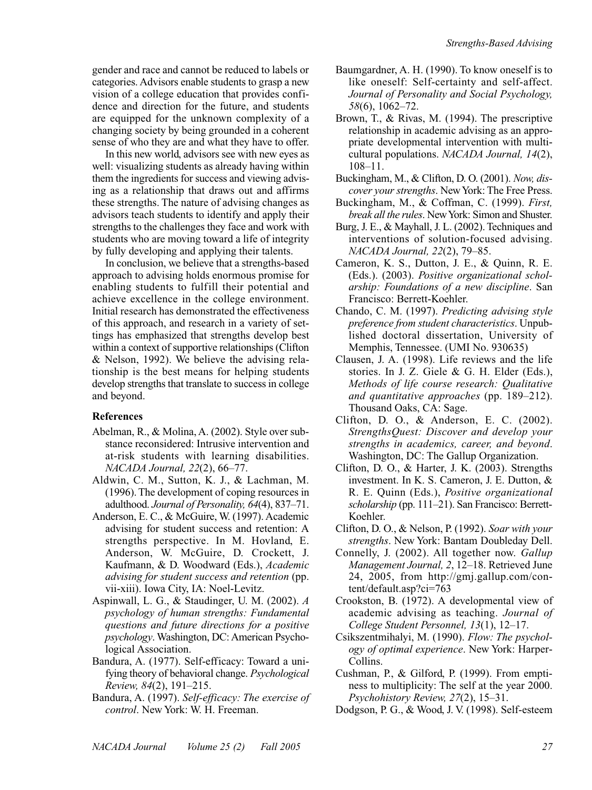gender and race and cannot be reduced to labels or categories. Advisors enable students to grasp a new vision of a college education that provides confidence and direction for the future, and students are equipped for the unknown complexity of a changing society by being grounded in a coherent sense of who they are and what they have to offer.

In this new world, advisors see with new eyes as well: visualizing students as already having within them the ingredients for success and viewing advising as a relationship that draws out and affirms these strengths. The nature of advising changes as advisors teach students to identify and apply their strengths to the challenges they face and work with students who are moving toward a life of integrity by fully developing and applying their talents.

In conclusion, we believe that a strengths-based approach to advising holds enormous promise for enabling students to fulfill their potential and achieve excellence in the college environment. Initial research has demonstrated the effectiveness of this approach, and research in a variety of settings has emphasized that strengths develop best within a context of supportive relationships (Clifton & Nelson, 1992). We believe the advising relationship is the best means for helping students develop strengths that translate to success in college and beyond.

## **References**

- Abelman, R., & Molina, A. (2002). Style over substance reconsidered: Intrusive intervention and at-risk students with learning disabilities. *NACADA Journal, 22*(2), 66–77.
- Aldwin, C. M., Sutton, K. J., & Lachman, M. (1996). The development of coping resources in adulthood. *Journal of Personality, 64*(4), 837–71.
- Anderson, E. C., & McGuire, W. (1997). Academic advising for student success and retention: A strengths perspective. In M. Hovland, E. Anderson, W. McGuire, D. Crockett, J. Kaufmann, & D. Woodward (Eds.), *Academic advising for student success and retention* (pp. vii-xiii). Iowa City, IA: Noel-Levitz.
- Aspinwall, L. G., & Staudinger, U. M. (2002). *A psychology of human strengths: Fundamental questions and future directions for a positive psychology*. Washington, DC: American Psychological Association.
- Bandura, A. (1977). Self-efficacy: Toward a unifying theory of behavioral change. *Psychological Review, 84*(2), 191–215.
- Bandura, A. (1997). *Self-efficacy: The exercise of control*. New York: W. H. Freeman.
- Baumgardner, A. H. (1990). To know oneself is to like oneself: Self-certainty and self-affect. *Journal of Personality and Social Psychology, 58*(6), 1062–72.
- Brown, T., & Rivas, M. (1994). The prescriptive relationship in academic advising as an appropriate developmental intervention with multicultural populations. *NACADA Journal, 14*(2), 108–11.
- Buckingham, M., & Clifton, D. O. (2001). *Now, discover your strengths*. New York: The Free Press.
- Buckingham, M., & Coffman, C. (1999). *First, break all the rules*. New York: Simon and Shuster.
- Burg, J. E., & Mayhall, J. L. (2002). Techniques and interventions of solution-focused advising. *NACADA Journal, 22*(2), 79–85.
- Cameron, K. S., Dutton, J. E., & Quinn, R. E. (Eds.). (2003). *Positive organizational scholarship: Foundations of a new discipline*. San Francisco: Berrett-Koehler.
- Chando, C. M. (1997). *Predicting advising style preference from student characteristics*. Unpublished doctoral dissertation, University of Memphis, Tennessee. (UMI No. 930635)
- Clausen, J. A. (1998). Life reviews and the life stories. In J. Z. Giele & G. H. Elder (Eds.), *Methods of life course research: Qualitative and quantitative approaches* (pp. 189–212). Thousand Oaks, CA: Sage.
- Clifton, D. O., & Anderson, E. C. (2002). *StrengthsQuest: Discover and develop your strengths in academics, career, and beyond*. Washington, DC: The Gallup Organization.
- Clifton, D. O., & Harter, J. K. (2003). Strengths investment. In K. S. Cameron, J. E. Dutton, & R. E. Quinn (Eds.), *Positive organizational scholarship* (pp. 111–21). San Francisco: Berrett-Koehler.
- Clifton, D. O., & Nelson, P. (1992). *Soar with your strengths*. New York: Bantam Doubleday Dell.
- Connelly, J. (2002). All together now. *Gallup Management Journal, 2*, 12–18. Retrieved June 24, 2005, from http://gmj.gallup.com/content/default.asp?ci=763
- Crookston, B. (1972). A developmental view of academic advising as teaching. *Journal of College Student Personnel, 13*(1), 12–17.
- Csikszentmihalyi, M. (1990). *Flow: The psychology of optimal experience*. New York: Harper-Collins.
- Cushman, P., & Gilford, P. (1999). From emptiness to multiplicity: The self at the year 2000. *Psychohistory Review, 27*(2), 15–31.

Dodgson, P. G., & Wood, J. V. (1998). Self-esteem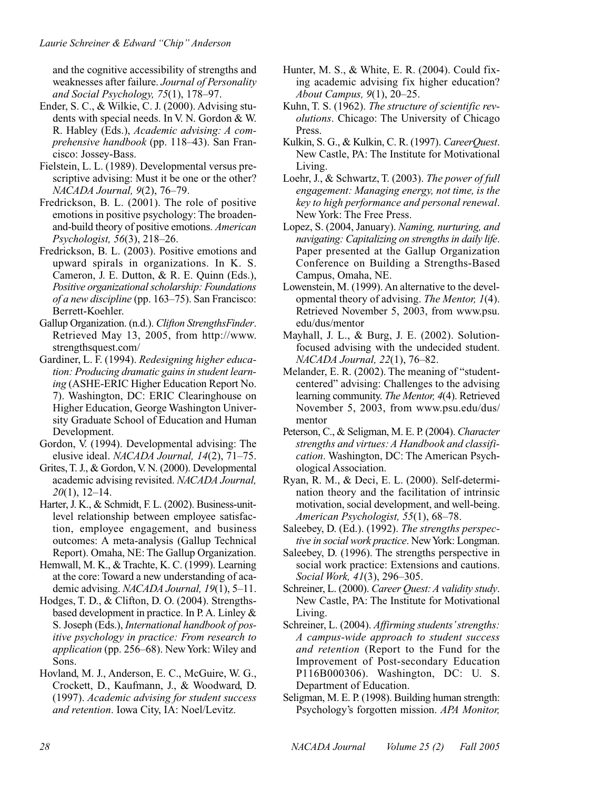and the cognitive accessibility of strengths and weaknesses after failure. *Journal of Personality and Social Psychology, 75*(1), 178–97.

- Ender, S. C., & Wilkie, C. J. (2000). Advising students with special needs. In V. N. Gordon & W. R. Habley (Eds.), *Academic advising: A comprehensive handbook* (pp. 118–43). San Francisco: Jossey-Bass.
- Fielstein, L. L. (1989). Developmental versus prescriptive advising: Must it be one or the other? *NACADA Journal, 9*(2), 76–79.
- Fredrickson, B. L. (2001). The role of positive emotions in positive psychology: The broadenand-build theory of positive emotions. *American Psychologist, 56*(3), 218–26.
- Fredrickson, B. L. (2003). Positive emotions and upward spirals in organizations. In K. S. Cameron, J. E. Dutton, & R. E. Quinn (Eds.), *Positive organizational scholarship: Foundations of a new discipline* (pp. 163–75). San Francisco: Berrett-Koehler.
- Gallup Organization. (n.d.). *Clifton StrengthsFinder*. Retrieved May 13, 2005, from http://www. strengthsquest.com/
- Gardiner, L. F. (1994). *Redesigning higher education: Producing dramatic gains in student learning* (ASHE-ERIC Higher Education Report No. 7). Washington, DC: ERIC Clearinghouse on Higher Education, George Washington University Graduate School of Education and Human Development.
- Gordon, V. (1994). Developmental advising: The elusive ideal. *NACADA Journal, 14*(2), 71–75.
- Grites, T. J., & Gordon, V. N. (2000). Developmental academic advising revisited. *NACADA Journal, 20*(1), 12–14.
- Harter, J. K., & Schmidt, F. L. (2002). Business-unitlevel relationship between employee satisfaction, employee engagement, and business outcomes: A meta-analysis (Gallup Technical Report). Omaha, NE: The Gallup Organization.
- Hemwall, M. K., & Trachte, K. C. (1999). Learning at the core: Toward a new understanding of academic advising. *NACADA Journal, 19*(1), 5–11.
- Hodges, T. D., & Clifton, D. O. (2004). Strengthsbased development in practice. In P. A. Linley & S. Joseph (Eds.), *International handbook of positive psychology in practice: From research to application* (pp. 256–68). New York: Wiley and Sons.
- Hovland, M. J., Anderson, E. C., McGuire, W. G., Crockett, D., Kaufmann, J., & Woodward, D. (1997). *Academic advising for student success and retention*. Iowa City, IA: Noel/Levitz.
- Hunter, M. S., & White, E. R. (2004). Could fixing academic advising fix higher education? *About Campus, 9*(1), 20–25.
- Kuhn, T. S. (1962). *The structure of scientific revolutions*. Chicago: The University of Chicago Press.
- Kulkin, S. G., & Kulkin, C. R. (1997). *CareerQuest*. New Castle, PA: The Institute for Motivational Living.
- Loehr, J., & Schwartz, T. (2003). *The power of full engagement: Managing energy, not time, is the key to high performance and personal renewal*. New York: The Free Press.
- Lopez, S. (2004, January). *Naming, nurturing, and navigating: Capitalizing on strengths in daily life*. Paper presented at the Gallup Organization Conference on Building a Strengths-Based Campus, Omaha, NE.
- Lowenstein, M. (1999). An alternative to the developmental theory of advising. *The Mentor, 1*(4). Retrieved November 5, 2003, from www.psu. edu/dus/mentor
- Mayhall, J. L., & Burg, J. E. (2002). Solutionfocused advising with the undecided student. *NACADA Journal, 22*(1), 76–82.
- Melander, E. R. (2002). The meaning of "studentcentered" advising: Challenges to the advising learning community. *The Mentor, 4*(4). Retrieved November 5, 2003, from www.psu.edu/dus/ mentor
- Peterson, C., & Seligman, M. E. P. (2004). *Character strengths and virtues: A Handbook and classification*. Washington, DC: The American Psychological Association.
- Ryan, R. M., & Deci, E. L. (2000). Self-determination theory and the facilitation of intrinsic motivation, social development, and well-being. *American Psychologist, 55*(1), 68–78.
- Saleebey, D. (Ed.). (1992). *The strengths perspective in social work practice*. New York: Longman.
- Saleebey, D. (1996). The strengths perspective in social work practice: Extensions and cautions. *Social Work, 41*(3), 296–305.
- Schreiner, L. (2000). *Career Quest: A validity study*. New Castle, PA: The Institute for Motivational Living.
- Schreiner, L. (2004). *Affirming students'strengths: A campus-wide approach to student success and retention* (Report to the Fund for the Improvement of Post-secondary Education P116B000306). Washington, DC: U. S. Department of Education.
- Seligman, M. E. P. (1998). Building human strength: Psychology's forgotten mission. *APA Monitor,*